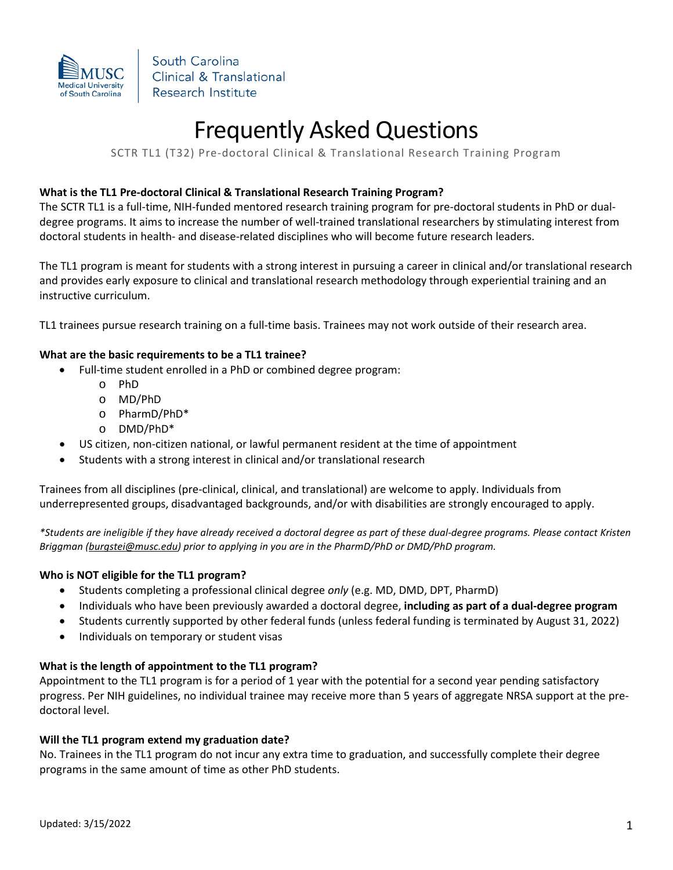

# Frequently Asked Questions

SCTR TL1 (T32) Pre-doctoral Clinical & Translational Research Training Program

## **What is the TL1 Pre-doctoral Clinical & Translational Research Training Program?**

The SCTR TL1 is a full-time, NIH-funded mentored research training program for pre-doctoral students in PhD or dualdegree programs. It aims to increase the number of well-trained translational researchers by stimulating interest from doctoral students in health- and disease-related disciplines who will become future research leaders.

The TL1 program is meant for students with a strong interest in pursuing a career in clinical and/or translational research and provides early exposure to clinical and translational research methodology through experiential training and an instructive curriculum.

TL1 trainees pursue research training on a full-time basis. Trainees may not work outside of their research area.

#### **What are the basic requirements to be a TL1 trainee?**

- Full-time student enrolled in a PhD or combined degree program:
	- o PhD
	- o MD/PhD
	- o PharmD/PhD\*
	- o DMD/PhD\*
- US citizen, non-citizen national, or lawful permanent resident at the time of appointment
- Students with a strong interest in clinical and/or translational research

Trainees from all disciplines (pre-clinical, clinical, and translational) are welcome to apply. Individuals from underrepresented groups, disadvantaged backgrounds, and/or with disabilities are strongly encouraged to apply.

*\*Students are ineligible if they have already received a doctoral degree as part of these dual-degree programs. Please contact Kristen Briggman [\(burgstei@musc.edu\)](mailto:burgstei@musc.edu) prior to applying in you are in the PharmD/PhD or DMD/PhD program.* 

#### **Who is NOT eligible for the TL1 program?**

- Students completing a professional clinical degree *only* (e.g. MD, DMD, DPT, PharmD)
- Individuals who have been previously awarded a doctoral degree, **including as part of a dual-degree program**
- Students currently supported by other federal funds (unless federal funding is terminated by August 31, 2022)
- Individuals on temporary or student visas

#### **What is the length of appointment to the TL1 program?**

Appointment to the TL1 program is for a period of 1 year with the potential for a second year pending satisfactory progress. Per NIH guidelines, no individual trainee may receive more than 5 years of aggregate NRSA support at the predoctoral level.

#### **Will the TL1 program extend my graduation date?**

No. Trainees in the TL1 program do not incur any extra time to graduation, and successfully complete their degree programs in the same amount of time as other PhD students.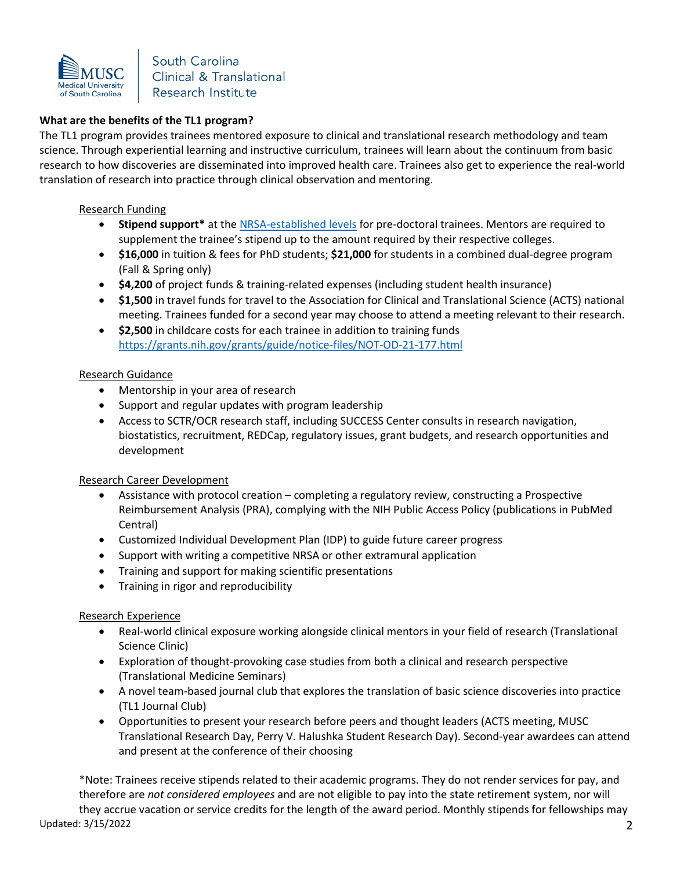

# **What are the benefits of the TL1 program?**

The TL1 program provides trainees mentored exposure to clinical and translational research methodology and team science. Through experiential learning and instructive curriculum, trainees will learn about the continuum from basic research to how discoveries are disseminated into improved health care. Trainees also get to experience the real-world translation of research into practice through clinical observation and mentoring.

#### Research Funding

- **Stipend support\*** at the [NRSA-established levels](https://grants.nih.gov/grants/guide/notice-files/NOT-OD-21-049.html) for pre-doctoral trainees. Mentors are required to supplement the trainee's stipend up to the amount required by their respective colleges.
- **\$16,000** in tuition & fees for PhD students; **\$21,000** for students in a combined dual-degree program (Fall & Spring only)
- **\$4,200** of project funds & training-related expenses (including student health insurance)
- **\$1,500** in travel funds for travel to the Association for Clinical and Translational Science (ACTS) national meeting. Trainees funded for a second year may choose to attend a meeting relevant to their research.
- **\$2,500** in childcare costs for each trainee in addition to training funds https://grants.nih.gov/grants/guide/notice-files/NOT-OD-21-177.html

#### Research Guidance

- Mentorship in your area of research
- Support and regular updates with program leadership
- Access to SCTR/OCR research staff, including SUCCESS Center consults in research navigation, biostatistics, recruitment, REDCap, regulatory issues, grant budgets, and research opportunities and development

#### Research Career Development

- Assistance with protocol creation completing a regulatory review, constructing a Prospective Reimbursement Analysis (PRA), complying with the NIH Public Access Policy (publications in PubMed Central)
- Customized Individual Development Plan (IDP) to guide future career progress
- Support with writing a competitive NRSA or other extramural application
- Training and support for making scientific presentations
- Training in rigor and reproducibility

#### Research Experience

- Real-world clinical exposure working alongside clinical mentors in your field of research (Translational Science Clinic)
- Exploration of thought-provoking case studies from both a clinical and research perspective (Translational Medicine Seminars)
- A novel team-based journal club that explores the translation of basic science discoveries into practice (TL1 Journal Club)
- Opportunities to present your research before peers and thought leaders (ACTS meeting, MUSC Translational Research Day, Perry V. Halushka Student Research Day). Second-year awardees can attend and present at the conference of their choosing

Updated: 3/15/2022 2 \*Note: Trainees receive stipends related to their academic programs. They do not render services for pay, and therefore are *not considered employees* and are not eligible to pay into the state retirement system, nor will they accrue vacation or service credits for the length of the award period. Monthly stipends for fellowships may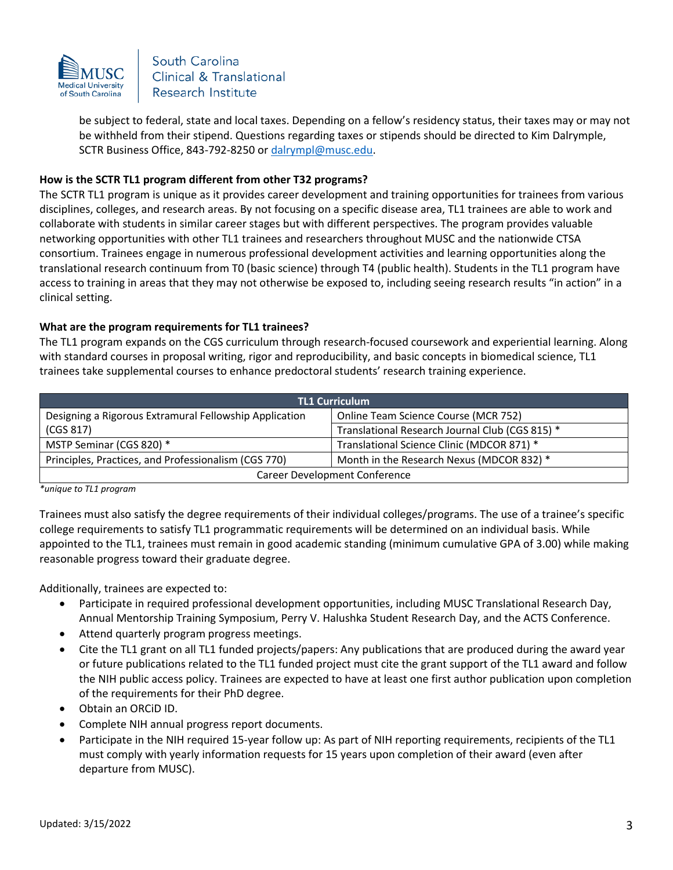

be subject to federal, state and local taxes. Depending on a fellow's residency status, their taxes may or may not be withheld from their stipend. Questions regarding taxes or stipends should be directed to Kim Dalrymple, SCTR Business Office, 843-792-8250 o[r dalrympl@musc.edu.](mailto:dalrympl@musc.edu)

#### **How is the SCTR TL1 program different from other T32 programs?**

The SCTR TL1 program is unique as it provides career development and training opportunities for trainees from various disciplines, colleges, and research areas. By not focusing on a specific disease area, TL1 trainees are able to work and collaborate with students in similar career stages but with different perspectives. The program provides valuable networking opportunities with other TL1 trainees and researchers throughout MUSC and the nationwide CTSA consortium. Trainees engage in numerous professional development activities and learning opportunities along the translational research continuum from T0 (basic science) through T4 (public health). Students in the TL1 program have access to training in areas that they may not otherwise be exposed to, including seeing research results "in action" in a clinical setting.

#### **What are the program requirements for TL1 trainees?**

The TL1 program expands on the CGS curriculum through research-focused coursework and experiential learning. Along with standard courses in proposal writing, rigor and reproducibility, and basic concepts in biomedical science, TL1 trainees take supplemental courses to enhance predoctoral students' research training experience.

| <b>TL1 Curriculum</b>                                  |                                                 |
|--------------------------------------------------------|-------------------------------------------------|
| Designing a Rigorous Extramural Fellowship Application | Online Team Science Course (MCR 752)            |
| (CGS 817)                                              | Translational Research Journal Club (CGS 815) * |
| MSTP Seminar (CGS 820) *                               | Translational Science Clinic (MDCOR 871) *      |
| Principles, Practices, and Professionalism (CGS 770)   | Month in the Research Nexus (MDCOR 832) *       |
| Career Development Conference                          |                                                 |

*\*unique to TL1 program*

Trainees must also satisfy the degree requirements of their individual colleges/programs. The use of a trainee's specific college requirements to satisfy TL1 programmatic requirements will be determined on an individual basis. While appointed to the TL1, trainees must remain in good academic standing (minimum cumulative GPA of 3.00) while making reasonable progress toward their graduate degree.

Additionally, trainees are expected to:

- Participate in required professional development opportunities, including MUSC Translational Research Day, Annual Mentorship Training Symposium, Perry V. Halushka Student Research Day, and the ACTS Conference.
- Attend quarterly program progress meetings.
- Cite the TL1 grant on all TL1 funded projects/papers: Any publications that are produced during the award year or future publications related to the TL1 funded project must cite the grant support of the TL1 award and follow the NIH public access policy. Trainees are expected to have at least one first author publication upon completion of the requirements for their PhD degree.
- Obtain an ORCiD ID.
- Complete NIH annual progress report documents.
- Participate in the NIH required 15-year follow up: As part of NIH reporting requirements, recipients of the TL1 must comply with yearly information requests for 15 years upon completion of their award (even after departure from MUSC).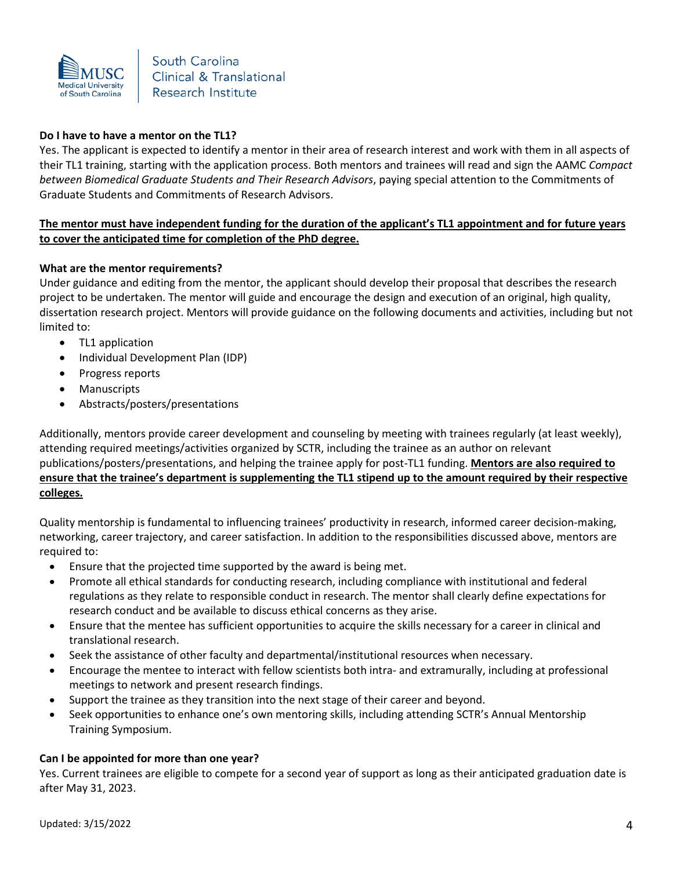

## **Do I have to have a mentor on the TL1?**

Yes. The applicant is expected to identify a mentor in their area of research interest and work with them in all aspects of their TL1 training, starting with the application process. Both mentors and trainees will read and sign the AAMC *Compact between Biomedical Graduate Students and Their Research Advisors*, paying special attention to the Commitments of Graduate Students and Commitments of Research Advisors.

## **The mentor must have independent funding for the duration of the applicant's TL1 appointment and for future years to cover the anticipated time for completion of the PhD degree.**

#### **What are the mentor requirements?**

Under guidance and editing from the mentor, the applicant should develop their proposal that describes the research project to be undertaken. The mentor will guide and encourage the design and execution of an original, high quality, dissertation research project. Mentors will provide guidance on the following documents and activities, including but not limited to:

- TL1 application
- Individual Development Plan (IDP)
- Progress reports
- Manuscripts
- Abstracts/posters/presentations

Additionally, mentors provide career development and counseling by meeting with trainees regularly (at least weekly), attending required meetings/activities organized by SCTR, including the trainee as an author on relevant publications/posters/presentations, and helping the trainee apply for post-TL1 funding. **Mentors are also required to ensure that the trainee's department is supplementing the TL1 stipend up to the amount required by their respective colleges.**

Quality mentorship is fundamental to influencing trainees' productivity in research, informed career decision-making, networking, career trajectory, and career satisfaction. In addition to the responsibilities discussed above, mentors are required to:

- Ensure that the projected time supported by the award is being met.
- Promote all ethical standards for conducting research, including compliance with institutional and federal regulations as they relate to responsible conduct in research. The mentor shall clearly define expectations for research conduct and be available to discuss ethical concerns as they arise.
- Ensure that the mentee has sufficient opportunities to acquire the skills necessary for a career in clinical and translational research.
- Seek the assistance of other faculty and departmental/institutional resources when necessary.
- Encourage the mentee to interact with fellow scientists both intra- and extramurally, including at professional meetings to network and present research findings.
- Support the trainee as they transition into the next stage of their career and beyond.
- Seek opportunities to enhance one's own mentoring skills, including attending SCTR's Annual Mentorship Training Symposium.

#### **Can I be appointed for more than one year?**

Yes. Current trainees are eligible to compete for a second year of support as long as their anticipated graduation date is after May 31, 2023.